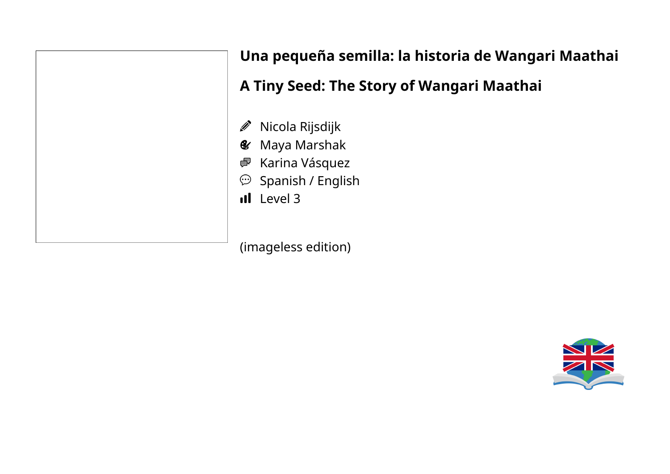J)  $\mathbf{g}$ 粵  $\odot$ 

# **Una pequeña semilla: la historia de Wangari Maathai**

# **A Tiny Seed: The Story of Wangari Maathai**

- Nicola Rijsdijk
- Maya Marshak
- Karina Vásquez
- Spanish / English
- Il Level 3

(imageless edition)

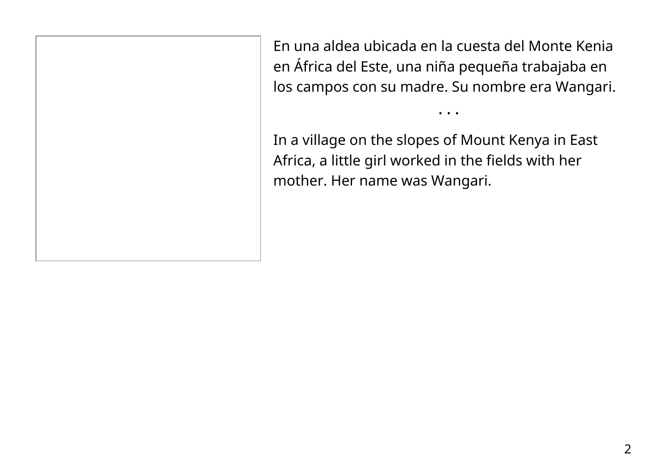En una aldea ubicada en la cuesta del Monte Kenia en África del Este, una niña pequeña trabajaba en los campos con su madre. Su nombre era Wangari.

• • •

In a village on the slopes of Mount Kenya in East Africa, a little girl worked in the fields with her mother. Her name was Wangari.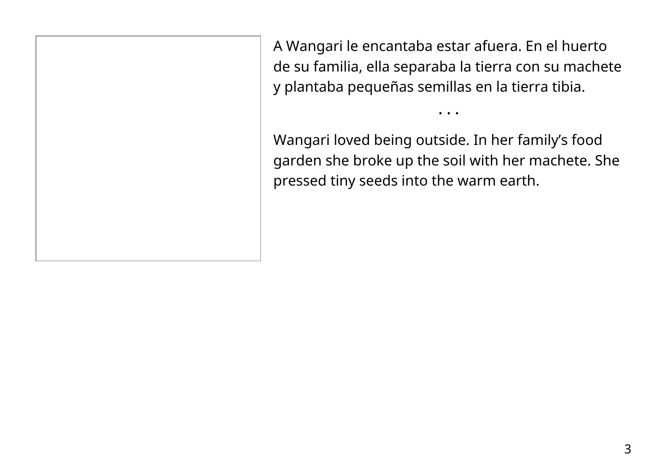A Wangari le encantaba estar afuera. En el huerto de su familia, ella separaba la tierra con su machete y plantaba pequeñas semillas en la tierra tibia.

• • •

Wangari loved being outside. In her family's food garden she broke up the soil with her machete. She pressed tiny seeds into the warm earth.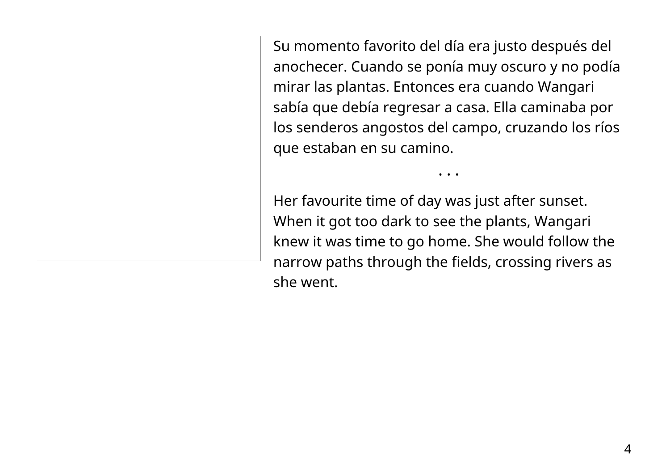Su momento favorito del día era justo después del anochecer. Cuando se ponía muy oscuro y no podía mirar las plantas. Entonces era cuando Wangari sabía que debía regresar a casa. Ella caminaba por los senderos angostos del campo, cruzando los ríos que estaban en su camino.

• • •

Her favourite time of day was just after sunset. When it got too dark to see the plants, Wangari knew it was time to go home. She would follow the narrow paths through the fields, crossing rivers as she went.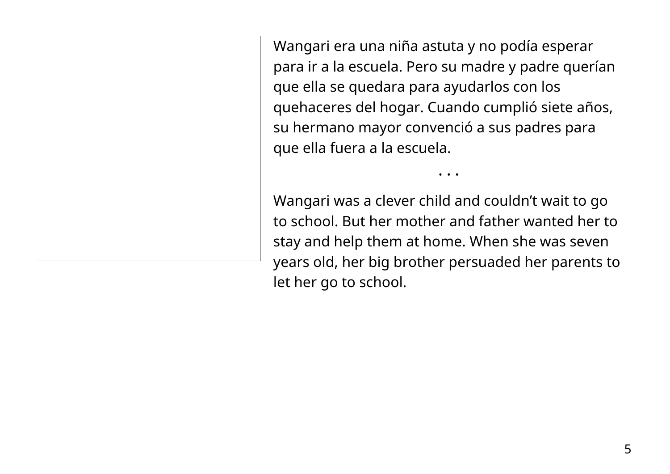Wangari era una niña astuta y no podía esperar para ir a la escuela. Pero su madre y padre querían que ella se quedara para ayudarlos con los quehaceres del hogar. Cuando cumplió siete años, su hermano mayor convenció a sus padres para que ella fuera a la escuela.

Wangari was a clever child and couldn't wait to go to school. But her mother and father wanted her to stay and help them at home. When she was seven years old, her big brother persuaded her parents to let her go to school.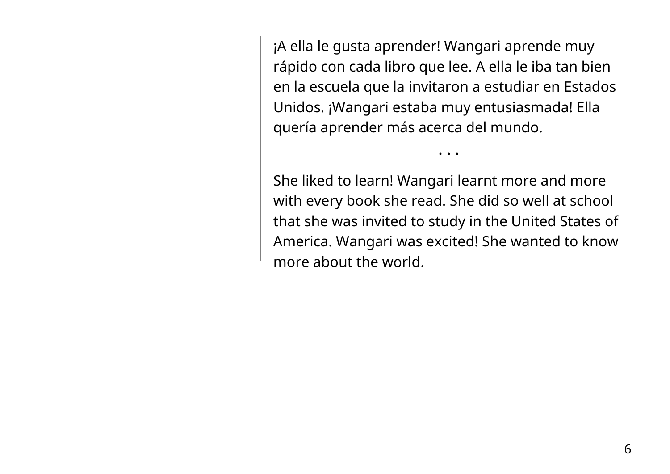¡A ella le gusta aprender! Wangari aprende muy rápido con cada libro que lee. A ella le iba tan bien en la escuela que la invitaron a estudiar en Estados Unidos. ¡Wangari estaba muy entusiasmada! Ella quería aprender más acerca del mundo.

• • •

She liked to learn! Wangari learnt more and more with every book she read. She did so well at school that she was invited to study in the United States of America. Wangari was excited! She wanted to know more about the world.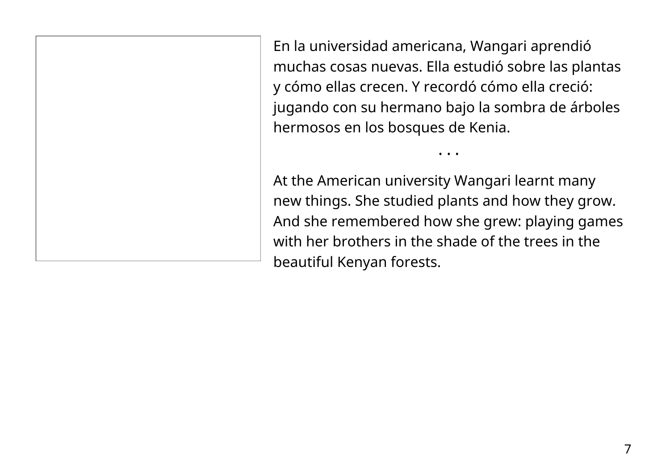En la universidad americana, Wangari aprendió muchas cosas nuevas. Ella estudió sobre las plantas y cómo ellas crecen. Y recordó cómo ella creció: jugando con su hermano bajo la sombra de árboles hermosos en los bosques de Kenia.

• • •

At the American university Wangari learnt many new things. She studied plants and how they grow. And she remembered how she grew: playing games with her brothers in the shade of the trees in the beautiful Kenyan forests.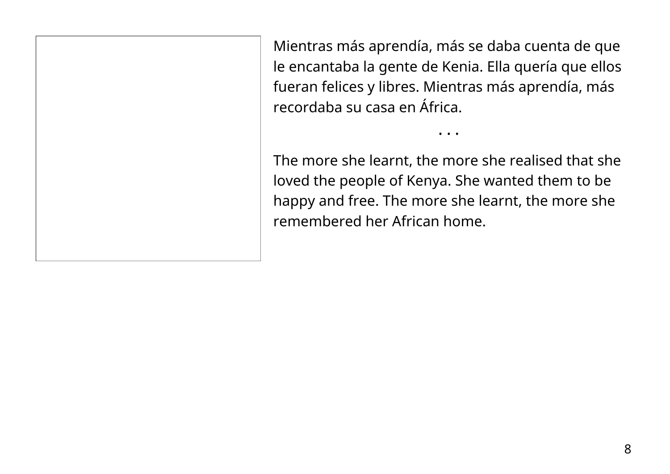Mientras más aprendía, más se daba cuenta de que le encantaba la gente de Kenia. Ella quería que ellos fueran felices y libres. Mientras más aprendía, más recordaba su casa en África.

The more she learnt, the more she realised that she loved the people of Kenya. She wanted them to be happy and free. The more she learnt, the more she remembered her African home.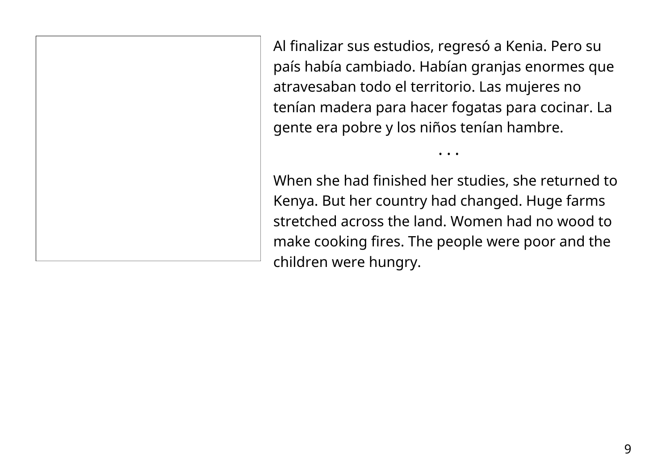Al finalizar sus estudios, regresó a Kenia. Pero su país había cambiado. Habían granjas enormes que atravesaban todo el territorio. Las mujeres no tenían madera para hacer fogatas para cocinar. La gente era pobre y los niños tenían hambre.

When she had finished her studies, she returned to Kenya. But her country had changed. Huge farms stretched across the land. Women had no wood to make cooking fires. The people were poor and the children were hungry.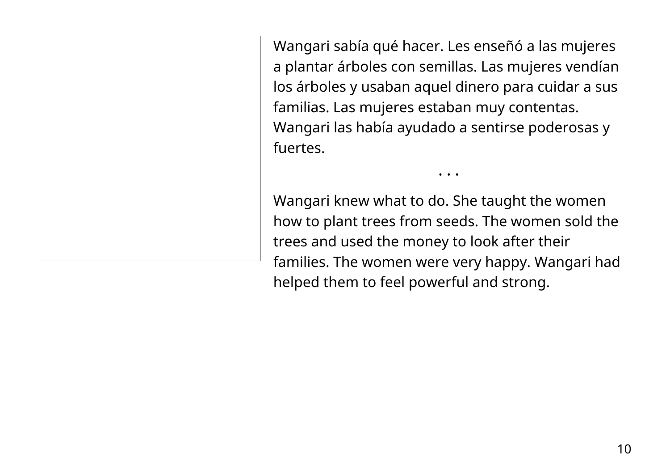Wangari sabía qué hacer. Les enseñó a las mujeres a plantar árboles con semillas. Las mujeres vendían los árboles y usaban aquel dinero para cuidar a sus familias. Las mujeres estaban muy contentas. Wangari las había ayudado a sentirse poderosas y fuertes.

Wangari knew what to do. She taught the women how to plant trees from seeds. The women sold the trees and used the money to look after their families. The women were very happy. Wangari had helped them to feel powerful and strong.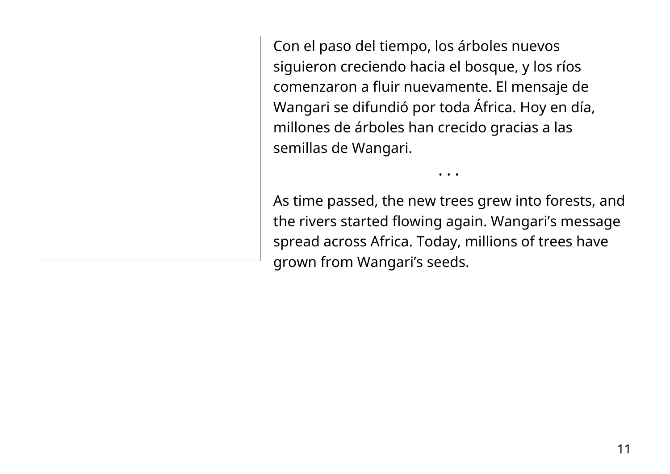Con el paso del tiempo, los árboles nuevos siguieron creciendo hacia el bosque, y los ríos comenzaron a fluir nuevamente. El mensaje de Wangari se difundió por toda África. Hoy en día, millones de árboles han crecido gracias a las semillas de Wangari.

As time passed, the new trees grew into forests, and the rivers started flowing again. Wangari's message spread across Africa. Today, millions of trees have grown from Wangari's seeds.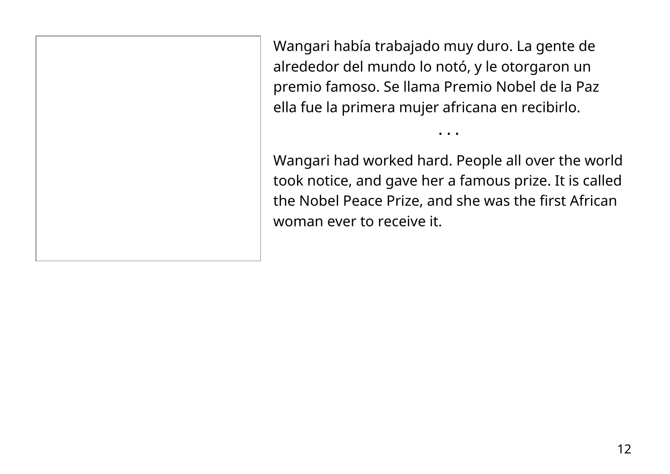Wangari había trabajado muy duro. La gente de alrededor del mundo lo notó, y le otorgaron un premio famoso. Se llama Premio Nobel de la Paz ella fue la primera mujer africana en recibirlo.

Wangari had worked hard. People all over the world took notice, and gave her a famous prize. It is called the Nobel Peace Prize, and she was the first African woman ever to receive it.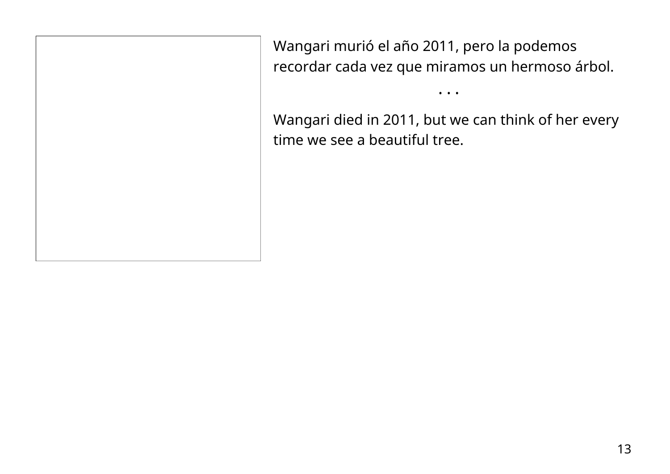Wangari murió el año 2011, pero la podemos recordar cada vez que miramos un hermoso árbol.

Wangari died in 2011, but we can think of her every time we see a beautiful tree.